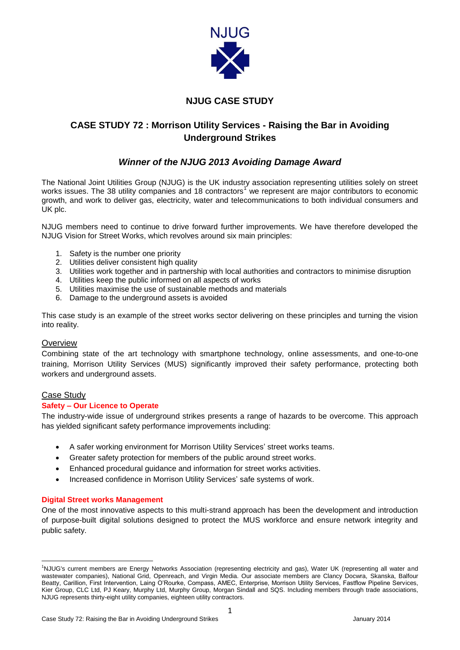

## **NJUG CASE STUDY**

# **CASE STUDY 72 : Morrison Utility Services - Raising the Bar in Avoiding Underground Strikes**

## *Winner of the NJUG 2013 Avoiding Damage Award*

The National Joint Utilities Group (NJUG) is the UK industry association representing utilities solely on street works issues. The 38 utility companies and 18 contractors<sup>1</sup> we represent are major contributors to economic growth, and work to deliver gas, electricity, water and telecommunications to both individual consumers and UK plc.

NJUG members need to continue to drive forward further improvements. We have therefore developed the NJUG Vision for Street Works, which revolves around six main principles:

- 1. Safety is the number one priority
- 2. Utilities deliver consistent high quality
- 3. Utilities work together and in partnership with local authorities and contractors to minimise disruption
- 4. Utilities keep the public informed on all aspects of works
- 5. Utilities maximise the use of sustainable methods and materials
- 6. Damage to the underground assets is avoided

This case study is an example of the street works sector delivering on these principles and turning the vision into reality.

### **Overview**

Combining state of the art technology with smartphone technology, online assessments, and one-to-one training, Morrison Utility Services (MUS) significantly improved their safety performance, protecting both workers and underground assets.

#### Case Study

#### **Safety – Our Licence to Operate**

The industry-wide issue of underground strikes presents a range of hazards to be overcome. This approach has yielded significant safety performance improvements including:

- A safer working environment for Morrison Utility Services' street works teams.
- Greater safety protection for members of the public around street works.
- Enhanced procedural guidance and information for street works activities.
- Increased confidence in Morrison Utility Services' safe systems of work.

#### **Digital Street works Management**

One of the most innovative aspects to this multi-strand approach has been the development and introduction of purpose-built digital solutions designed to protect the MUS workforce and ensure network integrity and public safety.

 $\overline{a}$ <sup>1</sup>NJUG's current members are Energy Networks Association (representing electricity and gas), Water UK (representing all water and wastewater companies), National Grid, Openreach, and Virgin Media. Our associate members are Clancy Docwra, Skanska, Balfour Beatty, Carillion, First Intervention, Laing O'Rourke, Compass, AMEC, Enterprise, Morrison Utility Services, Fastflow Pipeline Services, Kier Group, CLC Ltd, PJ Keary, Murphy Ltd, Murphy Group, Morgan Sindall and SQS. Including members through trade associations, NJUG represents thirty-eight utility companies, eighteen utility contractors.